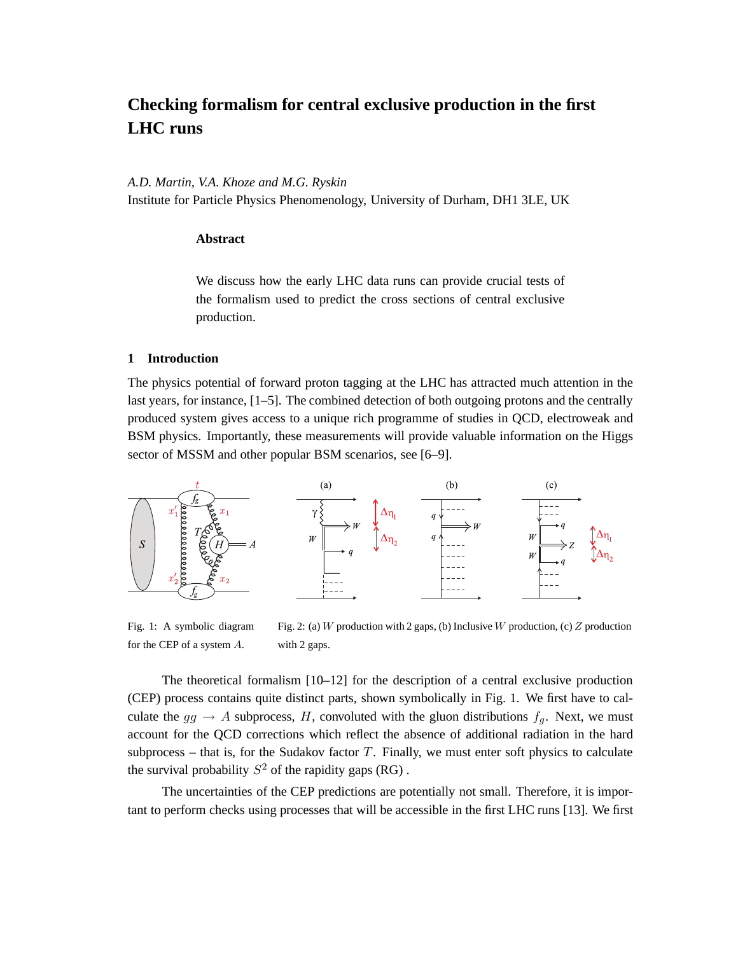# **Checking formalism for central exclusive production in the first LHC runs**

*A.D. Martin, V.A. Khoze and M.G. Ryskin*

Institute for Particle Physics Phenomenology, University of Durham, DH1 3LE, UK

## **Abstract**

We discuss how the early LHC data runs can provide crucial tests of the formalism used to predict the cross sections of central exclusive production.

### **1 Introduction**

The physics potential of forward proton tagging at the LHC has attracted much attention in the last years, for instance, [1–5]. The combined detection of both outgoing protons and the centrally produced system gives access to a unique rich programme of studies in QCD, electroweak and BSM physics. Importantly, these measurements will provide valuable information on the Higgs sector of MSSM and other popular BSM scenarios, see [6–9].



Fig. 1: A symbolic diagram for the CEP of a system A. Fig. 2: (a) W production with 2 gaps, (b) Inclusive W production, (c) Z production with 2 gaps.

The theoretical formalism [10–12] for the description of a central exclusive production (CEP) process contains quite distinct parts, shown symbolically in Fig. 1. We first have to calculate the  $gg \to A$  subprocess, H, convoluted with the gluon distributions  $f<sub>q</sub>$ . Next, we must account for the QCD corrections which reflect the absence of additional radiation in the hard subprocess – that is, for the Sudakov factor  $T$ . Finally, we must enter soft physics to calculate the survival probability  $S^2$  of the rapidity gaps (RG).

The uncertainties of the CEP predictions are potentially not small. Therefore, it is important to perform checks using processes that will be accessible in the first LHC runs [13]. We first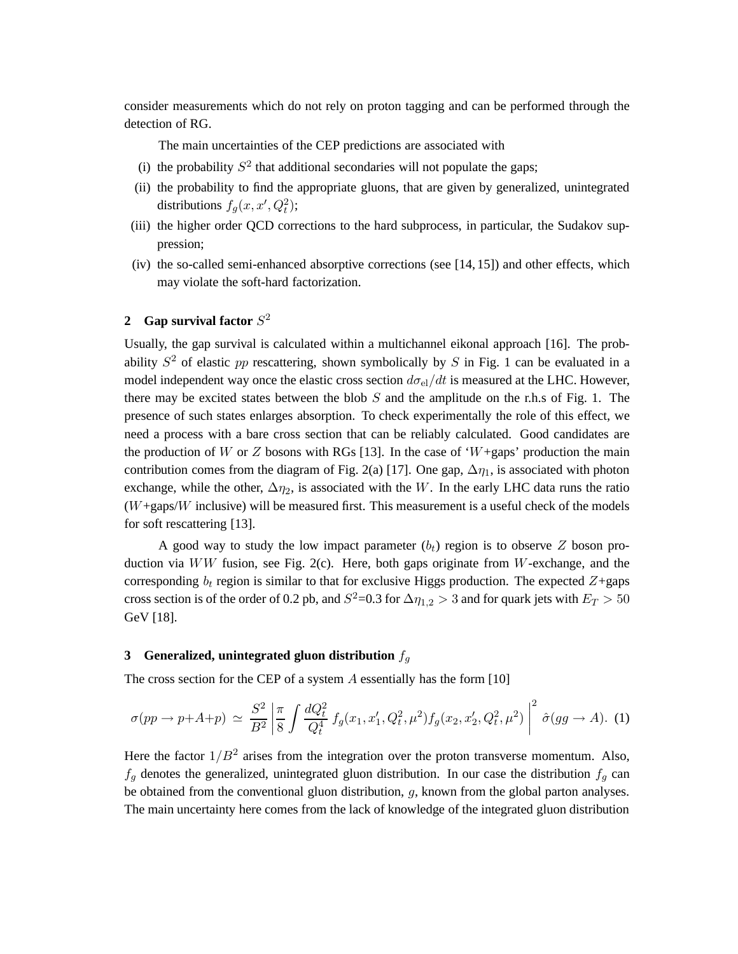consider measurements which do not rely on proton tagging and can be performed through the detection of RG.

The main uncertainties of the CEP predictions are associated with

- (i) the probability  $S^2$  that additional secondaries will not populate the gaps;
- (ii) the probability to find the appropriate gluons, that are given by generalized, unintegrated distributions  $f_g(x, x', Q_t^2);$
- (iii) the higher order QCD corrections to the hard subprocess, in particular, the Sudakov suppression;
- (iv) the so-called semi-enhanced absorptive corrections (see [14, 15]) and other effects, which may violate the soft-hard factorization.

## **2** Gap survival factor  $S^2$

Usually, the gap survival is calculated within a multichannel eikonal approach [16]. The probability  $S^2$  of elastic pp rescattering, shown symbolically by S in Fig. 1 can be evaluated in a model independent way once the elastic cross section  $d\sigma_{el}/dt$  is measured at the LHC. However, there may be excited states between the blob  $S$  and the amplitude on the r.h.s of Fig. 1. The presence of such states enlarges absorption. To check experimentally the role of this effect, we need a process with a bare cross section that can be reliably calculated. Good candidates are the production of W or Z bosons with RGs [13]. In the case of 'W+gaps' production the main contribution comes from the diagram of Fig. 2(a) [17]. One gap,  $\Delta \eta_1$ , is associated with photon exchange, while the other,  $\Delta \eta_2$ , is associated with the W. In the early LHC data runs the ratio  $(W + \text{gaps}/W)$  inclusive) will be measured first. This measurement is a useful check of the models for soft rescattering [13].

A good way to study the low impact parameter  $(b<sub>t</sub>)$  region is to observe Z boson production via  $WW$  fusion, see Fig. 2(c). Here, both gaps originate from W-exchange, and the corresponding  $b_t$  region is similar to that for exclusive Higgs production. The expected  $Z+$ gaps cross section is of the order of 0.2 pb, and  $S^2$ =0.3 for  $\Delta \eta_{1,2} > 3$  and for quark jets with  $E_T > 50$ GeV [18].

## **3** Generalized, unintegrated gluon distribution  $f_q$

The cross section for the CEP of a system  $A$  essentially has the form [10]

$$
\sigma(pp \to p+A+p) \simeq \frac{S^2}{B^2} \left| \frac{\pi}{8} \int \frac{dQ_t^2}{Q_t^4} f_g(x_1, x_1', Q_t^2, \mu^2) f_g(x_2, x_2', Q_t^2, \mu^2) \right|^2 \hat{\sigma}(gg \to A). \tag{1}
$$

Here the factor  $1/B^2$  arises from the integration over the proton transverse momentum. Also,  $f_q$  denotes the generalized, unintegrated gluon distribution. In our case the distribution  $f_q$  can be obtained from the conventional gluon distribution,  $g$ , known from the global parton analyses. The main uncertainty here comes from the lack of knowledge of the integrated gluon distribution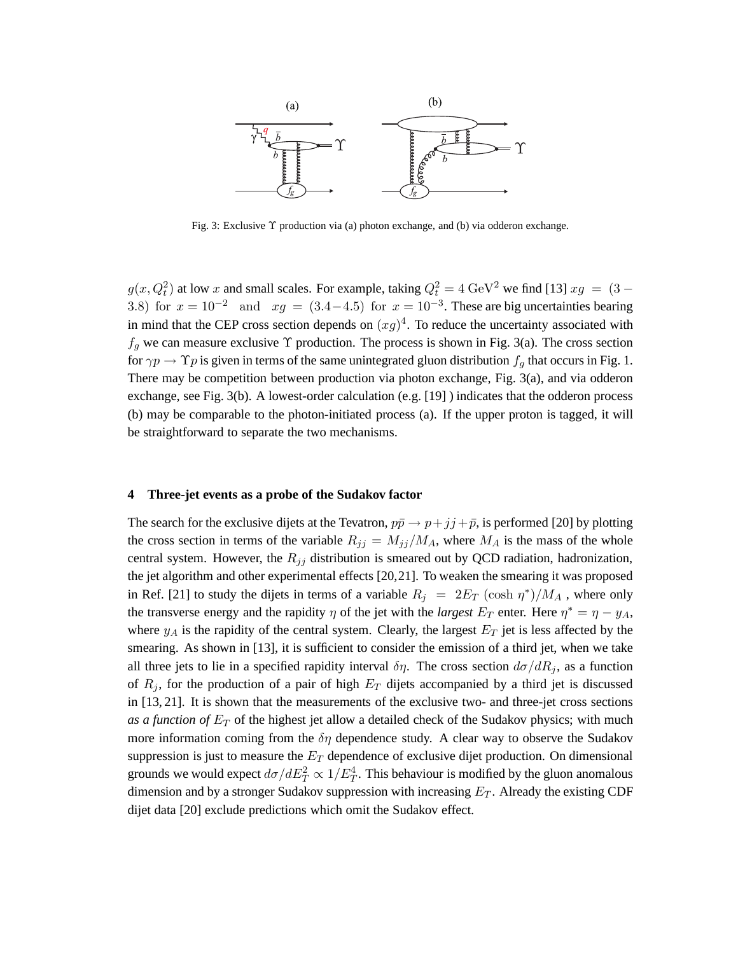

Fig. 3: Exclusive Υ production via (a) photon exchange, and (b) via odderon exchange.

 $g(x, Q_t^2)$  at low x and small scales. For example, taking  $Q_t^2 = 4 \text{ GeV}^2$  we find [13]  $xg = (3 -$ 3.8) for  $x = 10^{-2}$  and  $xg = (3.4-4.5)$  for  $x = 10^{-3}$ . These are big uncertainties bearing in mind that the CEP cross section depends on  $(xg)^4$ . To reduce the uncertainty associated with  $f_q$  we can measure exclusive  $\Upsilon$  production. The process is shown in Fig. 3(a). The cross section for  $\gamma p \to \Upsilon p$  is given in terms of the same unintegrated gluon distribution  $f_q$  that occurs in Fig. 1. There may be competition between production via photon exchange, Fig. 3(a), and via odderon exchange, see Fig. 3(b). A lowest-order calculation (e.g. [19] ) indicates that the odderon process (b) may be comparable to the photon-initiated process (a). If the upper proton is tagged, it will be straightforward to separate the two mechanisms.

### **4 Three-jet events as a probe of the Sudakov factor**

The search for the exclusive dijets at the Tevatron,  $p\bar{p} \rightarrow p + jj + \bar{p}$ , is performed [20] by plotting the cross section in terms of the variable  $R_{jj} = M_{jj}/M_A$ , where  $M_A$  is the mass of the whole central system. However, the  $R_{jj}$  distribution is smeared out by QCD radiation, hadronization, the jet algorithm and other experimental effects [20,21]. To weaken the smearing it was proposed in Ref. [21] to study the dijets in terms of a variable  $R_j = 2E_T (\cosh \eta^*)/M_A$ , where only the transverse energy and the rapidity  $\eta$  of the jet with the *largest*  $E_T$  enter. Here  $\eta^* = \eta - y_A$ , where  $y_A$  is the rapidity of the central system. Clearly, the largest  $E_T$  jet is less affected by the smearing. As shown in [13], it is sufficient to consider the emission of a third jet, when we take all three jets to lie in a specified rapidity interval  $\delta \eta$ . The cross section  $d\sigma/dR_i$ , as a function of  $R_j$ , for the production of a pair of high  $E_T$  dijets accompanied by a third jet is discussed in [13, 21]. It is shown that the measurements of the exclusive two- and three-jet cross sections as a function of  $E_T$  of the highest jet allow a detailed check of the Sudakov physics; with much more information coming from the  $\delta\eta$  dependence study. A clear way to observe the Sudakov suppression is just to measure the  $E_T$  dependence of exclusive dijet production. On dimensional grounds we would expect  $d\sigma/dE_T^2 \propto 1/E_T^4$ . This behaviour is modified by the gluon anomalous dimension and by a stronger Sudakov suppression with increasing  $E_T$ . Already the existing CDF dijet data [20] exclude predictions which omit the Sudakov effect.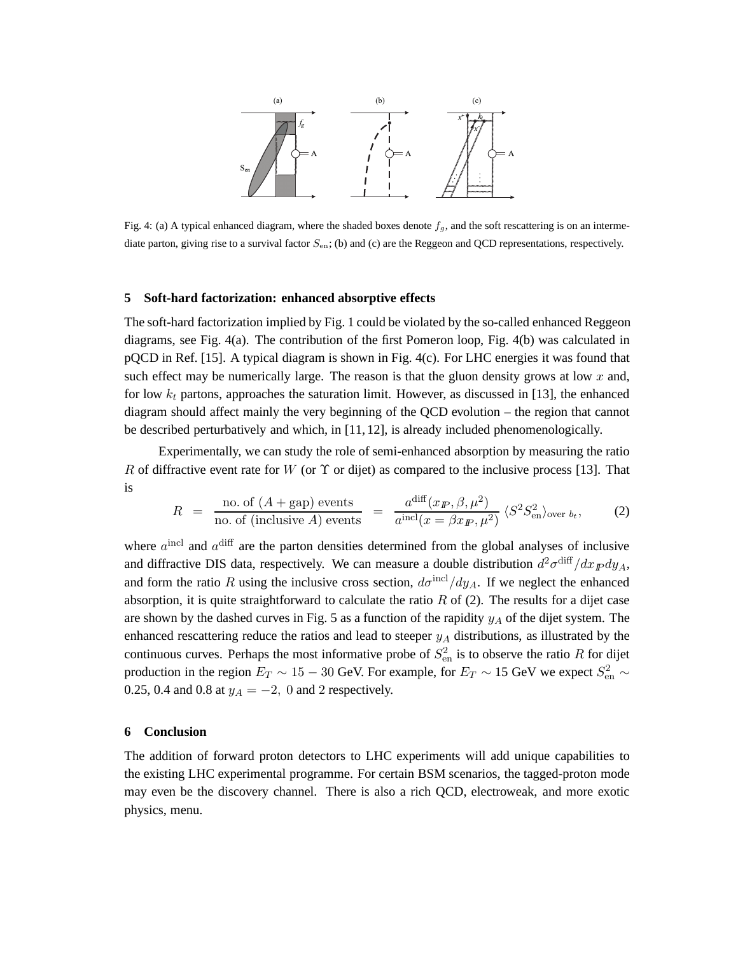

Fig. 4: (a) A typical enhanced diagram, where the shaded boxes denote  $f<sub>g</sub>$ , and the soft rescattering is on an intermediate parton, giving rise to a survival factor  $S_{en}$ ; (b) and (c) are the Reggeon and QCD representations, respectively.

#### **5 Soft-hard factorization: enhanced absorptive effects**

The soft-hard factorization implied by Fig. 1 could be violated by the so-called enhanced Reggeon diagrams, see Fig. 4(a). The contribution of the first Pomeron loop, Fig. 4(b) was calculated in pQCD in Ref. [15]. A typical diagram is shown in Fig. 4(c). For LHC energies it was found that such effect may be numerically large. The reason is that the gluon density grows at low  $x$  and, for low  $k_t$  partons, approaches the saturation limit. However, as discussed in [13], the enhanced diagram should affect mainly the very beginning of the QCD evolution – the region that cannot be described perturbatively and which, in [11, 12], is already included phenomenologically.

Experimentally, we can study the role of semi-enhanced absorption by measuring the ratio R of diffractive event rate for W (or  $\Upsilon$  or dijet) as compared to the inclusive process [13]. That is

$$
R = \frac{\text{no. of } (A + \text{gap}) \text{ events}}{\text{no. of (inclusive } A) \text{ events}} = \frac{a^{\text{diff}}(x_{I\!\!P}, \beta, \mu^2)}{a^{\text{incl}}(x = \beta x_{I\!\!P}, \mu^2)} \langle S^2 S_{\text{en}}^2 \rangle_{\text{over } b_t}, \tag{2}
$$

where  $a^{\text{incl}}$  and  $a^{\text{diff}}$  are the parton densities determined from the global analyses of inclusive and diffractive DIS data, respectively. We can measure a double distribution  $d^2\sigma^{\text{diff}}/dx_{\text{F}}dy_A$ , and form the ratio R using the inclusive cross section,  $d\sigma^{\rm incl}/dy_A$ . If we neglect the enhanced absorption, it is quite straightforward to calculate the ratio  $R$  of (2). The results for a dijet case are shown by the dashed curves in Fig. 5 as a function of the rapidity  $y_A$  of the dijet system. The enhanced rescattering reduce the ratios and lead to steeper  $y_A$  distributions, as illustrated by the continuous curves. Perhaps the most informative probe of  $S_{\text{en}}^2$  is to observe the ratio R for dijet production in the region  $E_T \sim 15 - 30$  GeV. For example, for  $E_T \sim 15$  GeV we expect  $S_{en}^2 \sim$ 0.25, 0.4 and 0.8 at  $y_A = -2$ , 0 and 2 respectively.

## **6 Conclusion**

The addition of forward proton detectors to LHC experiments will add unique capabilities to the existing LHC experimental programme. For certain BSM scenarios, the tagged-proton mode may even be the discovery channel. There is also a rich QCD, electroweak, and more exotic physics, menu.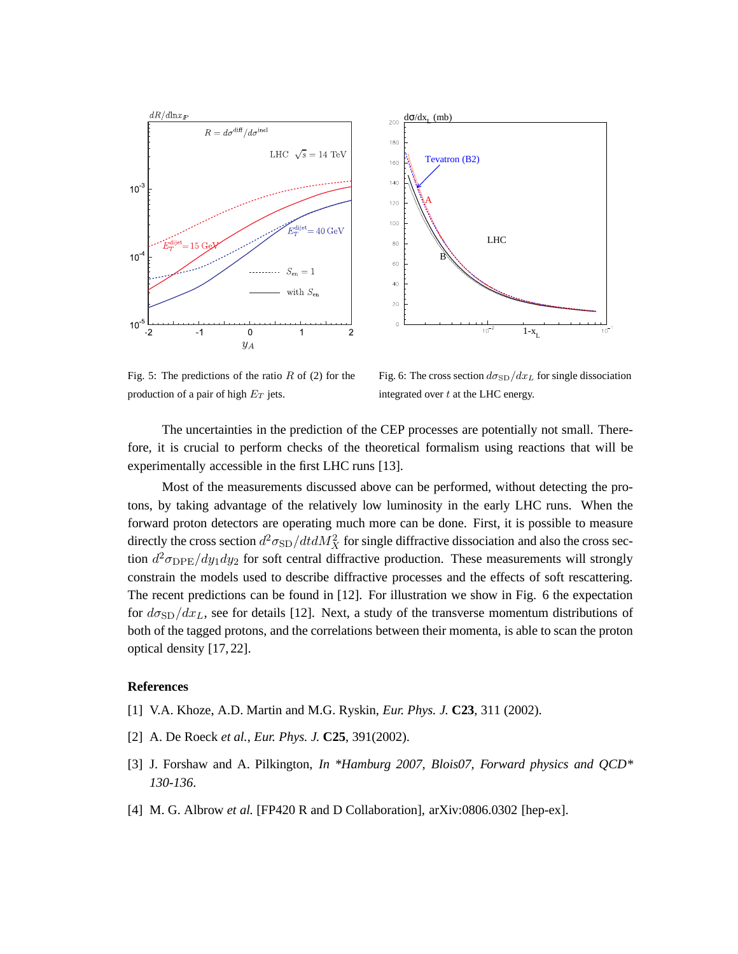

Fig. 5: The predictions of the ratio  $R$  of (2) for the production of a pair of high  $E_T$  jets.

Fig. 6: The cross section  $d\sigma_{SD}/dx_L$  for single dissociation integrated over  $t$  at the LHC energy.

The uncertainties in the prediction of the CEP processes are potentially not small. Therefore, it is crucial to perform checks of the theoretical formalism using reactions that will be experimentally accessible in the first LHC runs [13].

Most of the measurements discussed above can be performed, without detecting the protons, by taking advantage of the relatively low luminosity in the early LHC runs. When the forward proton detectors are operating much more can be done. First, it is possible to measure directly the cross section  $d^2 \sigma_{\text{SD}}/dtdM_X^2$  for single diffractive dissociation and also the cross section  $d^2\sigma_{\rm DPE}/dy_1dy_2$  for soft central diffractive production. These measurements will strongly constrain the models used to describe diffractive processes and the effects of soft rescattering. The recent predictions can be found in [12]. For illustration we show in Fig. 6 the expectation for  $d\sigma_{SD}/dx_L$ , see for details [12]. Next, a study of the transverse momentum distributions of both of the tagged protons, and the correlations between their momenta, is able to scan the proton optical density [17, 22].

#### **References**

- [1] V.A. Khoze, A.D. Martin and M.G. Ryskin, *Eur. Phys. J.* **C23**, 311 (2002).
- [2] A. De Roeck *et al.*, *Eur. Phys. J.* **C25**, 391(2002).
- [3] J. Forshaw and A. Pilkington, *In \*Hamburg 2007, Blois07, Forward physics and QCD\* 130-136*.
- [4] M. G. Albrow *et al.* [FP420 R and D Collaboration], arXiv:0806.0302 [hep-ex].